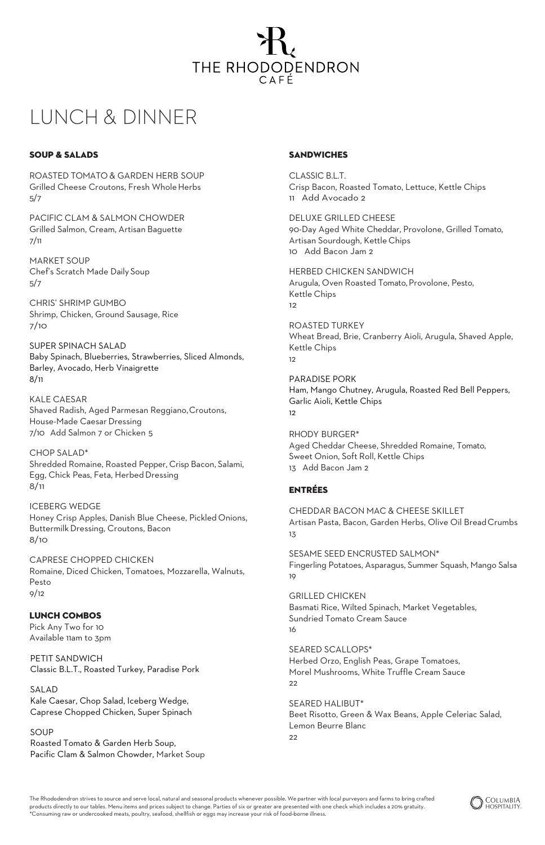

# LUNCH & DINNER

### SOUP & SALADS

ROASTED TOMATO & GARDEN HERB SOUP Grilled Cheese Croutons, Fresh WholeHerbs 5/7

PACIFIC CLAM & SALMON CHOWDER Grilled Salmon, Cream, Artisan Baguette 7/11

MARKET SOUP Chef's Scratch Made Daily Soup 5/7

CHRIS' SHRIMP GUMBO Shrimp, Chicken, Ground Sausage, Rice 7/10

SUPER SPINACH SALAD Baby Spinach, Blueberries, Strawberries, Sliced Almonds, Barley, Avocado, Herb Vinaigrette 8/11

KALE CAESAR Shaved Radish, Aged Parmesan Reggiano,Croutons, House-Made Caesar Dressing 7/10 Add Salmon 7 or Chicken 5

CHOP SALAD\* Shredded Romaine, Roasted Pepper, Crisp Bacon, Salami, Egg, Chick Peas, Feta, Herbed Dressing 8/11

ICEBERG WEDGE Honey Crisp Apples, Danish Blue Cheese, Pickled Onions, ButtermilkDressing, Croutons, Bacon 8/10

CAPRESE CHOPPED CHICKEN Romaine, Diced Chicken, Tomatoes, Mozzarella, Walnuts, Pesto 9/12

#### LUNCH COMBOS Pick Any Two for 10

Available 11am to 3pm

PETIT SANDWICH Classic B.L.T., Roasted Turkey, Paradise Pork

SALAD Kale Caesar, Chop Salad, Iceberg Wedge, Caprese Chopped Chicken, Super Spinach

SOUP Roasted Tomato & Garden Herb Soup, Pacific Clam & Salmon Chowder, Market Soup

### **SANDWICHES**

CLASSIC B.L.T. Crisp Bacon, Roasted Tomato, Lettuce, Kettle Chips 11 Add Avocado 2

DELUXE GRILLED CHEESE 90-Day Aged White Cheddar, Provolone, Grilled Tomato, Artisan Sourdough, Kettle Chips 10 Add Bacon Jam 2

HERBED CHICKEN SANDWICH Arugula, Oven Roasted Tomato, Provolone, Pesto, Kettle Chips 12

ROASTED TURKEY Wheat Bread, Brie, Cranberry Aioli, Arugula, Shaved Apple, Kettle Chips 12

PARADISE PORK Ham, Mango Chutney, Arugula, Roasted Red Bell Peppers, Garlic Aioli, Kettle Chips 12

RHODY BURGER\* Aged Cheddar Cheese, Shredded Romaine, Tomato, Sweet Onion, Soft Roll, Kettle Chips 13 Add Bacon Jam 2

## ENTRÉES

CHEDDAR BACON MAC & CHEESE SKILLET Artisan Pasta, Bacon, Garden Herbs, Olive Oil BreadCrumbs 13

SESAME SEED ENCRUSTED SALMON\* Fingerling Potatoes, Asparagus, Summer Squash, Mango Salsa 19

GRILLED CHICKEN Basmati Rice, Wilted Spinach, Market Vegetables, Sundried Tomato Cream Sauce 16

SEARED SCALLOPS\* Herbed Orzo, English Peas, Grape Tomatoes, Morel Mushrooms, White Truffle Cream Sauce 22

SEARED HALIBUT\* Beet Risotto, Green & Wax Beans, Apple Celeriac Salad, Lemon Beurre Blanc  $22$ 

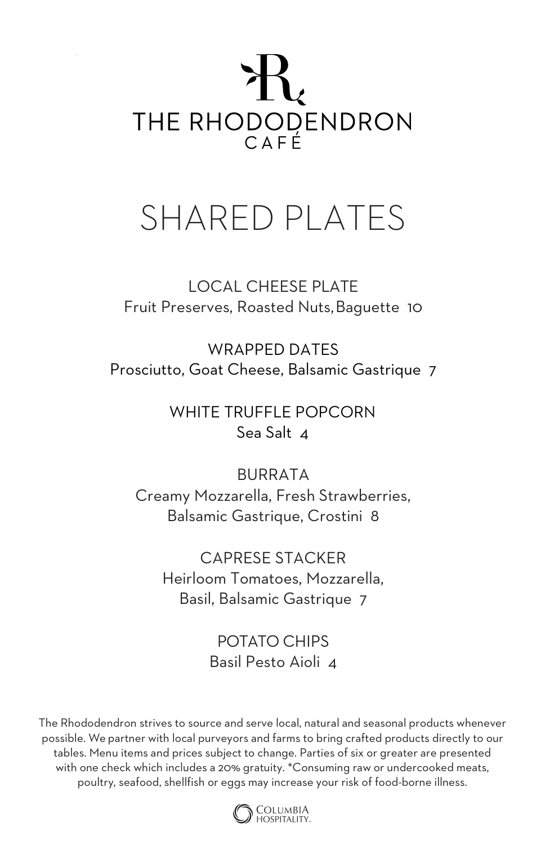

# SHARED PLATES

LOCAL CHEESE PLATE Fruit Preserves, Roasted Nuts,Baguette 10

WRAPPED DATES Prosciutto, Goat Cheese, Balsamic Gastrique 7

> WHITE TRUFFLE POPCORN Sea Salt 4

BURRATA Creamy Mozzarella, Fresh Strawberries, Balsamic Gastrique, Crostini 8

CAPRESE STACKER Heirloom Tomatoes, Mozzarella, Basil, Balsamic Gastrique 7

> POTATO CHIPS Basil Pesto Aioli 4

The Rhododendron strives to source and serve local, natural and seasonal products whenever possible. We partner with local purveyors and farms to bring crafted products directly to our tables. Menu items and prices subject to change. Parties of six or greater are presented with one check which includes a 20% gratuity. \*Consuming raw or undercooked meats, poultry, seafood, shellfish or eggs may increase your risk of food-borne illness.